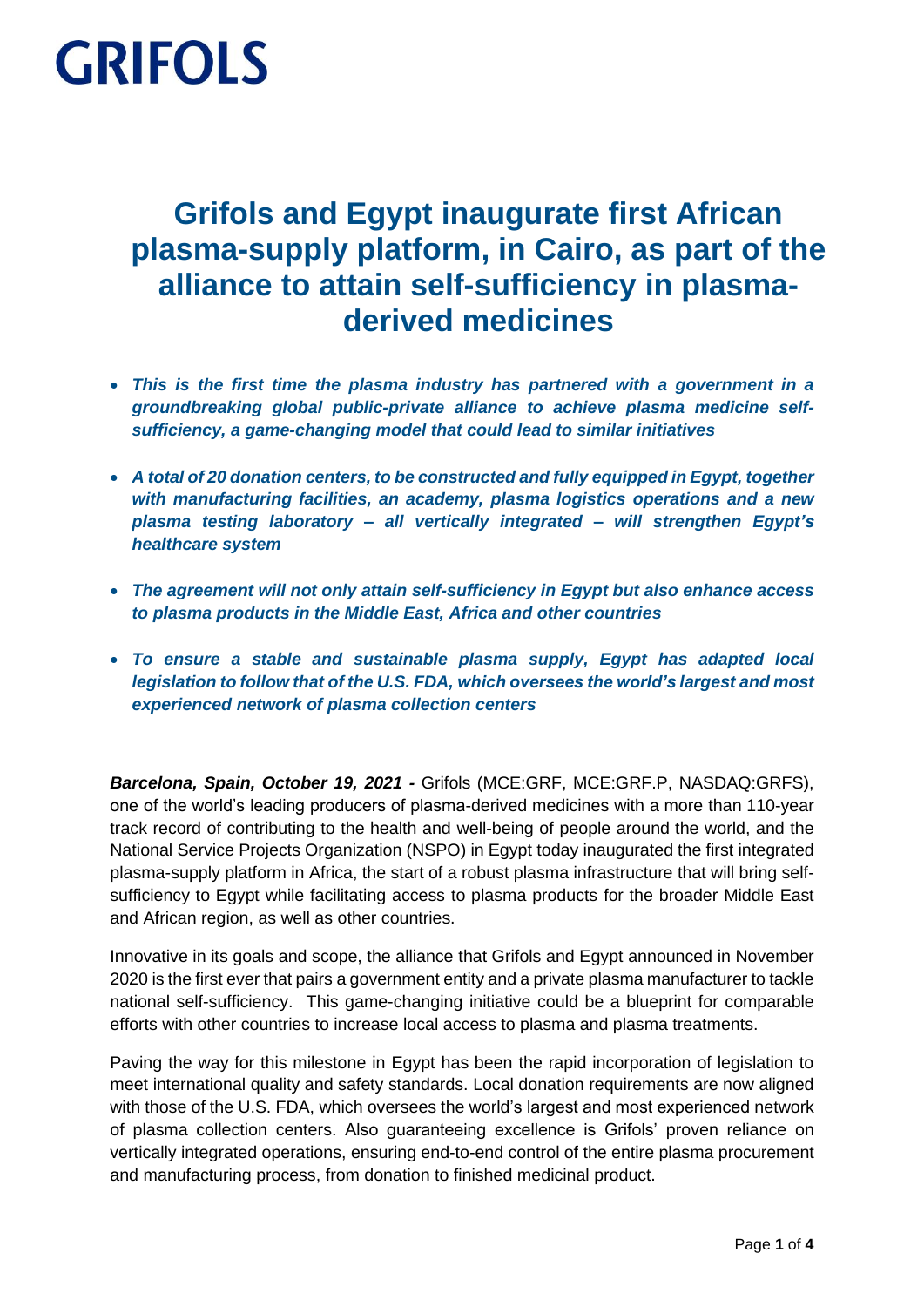### **Grifols and Egypt inaugurate first African plasma-supply platform, in Cairo, as part of the alliance to attain self-sufficiency in plasmaderived medicines**

- *This is the first time the plasma industry has partnered with a government in a groundbreaking global public-private alliance to achieve plasma medicine selfsufficiency, a game-changing model that could lead to similar initiatives*
- *A total of 20 donation centers, to be constructed and fully equipped in Egypt, together with manufacturing facilities, an academy, plasma logistics operations and a new plasma testing laboratory – all vertically integrated – will strengthen Egypt's healthcare system*
- *The agreement will not only attain self-sufficiency in Egypt but also enhance access to plasma products in the Middle East, Africa and other countries*
- *To ensure a stable and sustainable plasma supply, Egypt has adapted local legislation to follow that of the U.S. FDA, which oversees the world's largest and most experienced network of plasma collection centers*

*Barcelona, Spain, October 19, 2021 -* Grifols (MCE:GRF, MCE:GRF.P, NASDAQ:GRFS), one of the world's leading producers of plasma-derived medicines with a more than 110-year track record of contributing to the health and well-being of people around the world, and the National Service Projects Organization (NSPO) in Egypt today inaugurated the first integrated plasma-supply platform in Africa, the start of a robust plasma infrastructure that will bring selfsufficiency to Egypt while facilitating access to plasma products for the broader Middle East and African region, as well as other countries.

Innovative in its goals and scope, the alliance that Grifols and Egypt announced in November 2020 is the first ever that pairs a government entity and a private plasma manufacturer to tackle national self-sufficiency. This game-changing initiative could be a blueprint for comparable efforts with other countries to increase local access to plasma and plasma treatments.

Paving the way for this milestone in Egypt has been the rapid incorporation of legislation to meet international quality and safety standards. Local donation requirements are now aligned with those of the U.S. FDA, which oversees the world's largest and most experienced network of plasma collection centers. Also guaranteeing excellence is Grifols' proven reliance on vertically integrated operations, ensuring end-to-end control of the entire plasma procurement and manufacturing process, from donation to finished medicinal product.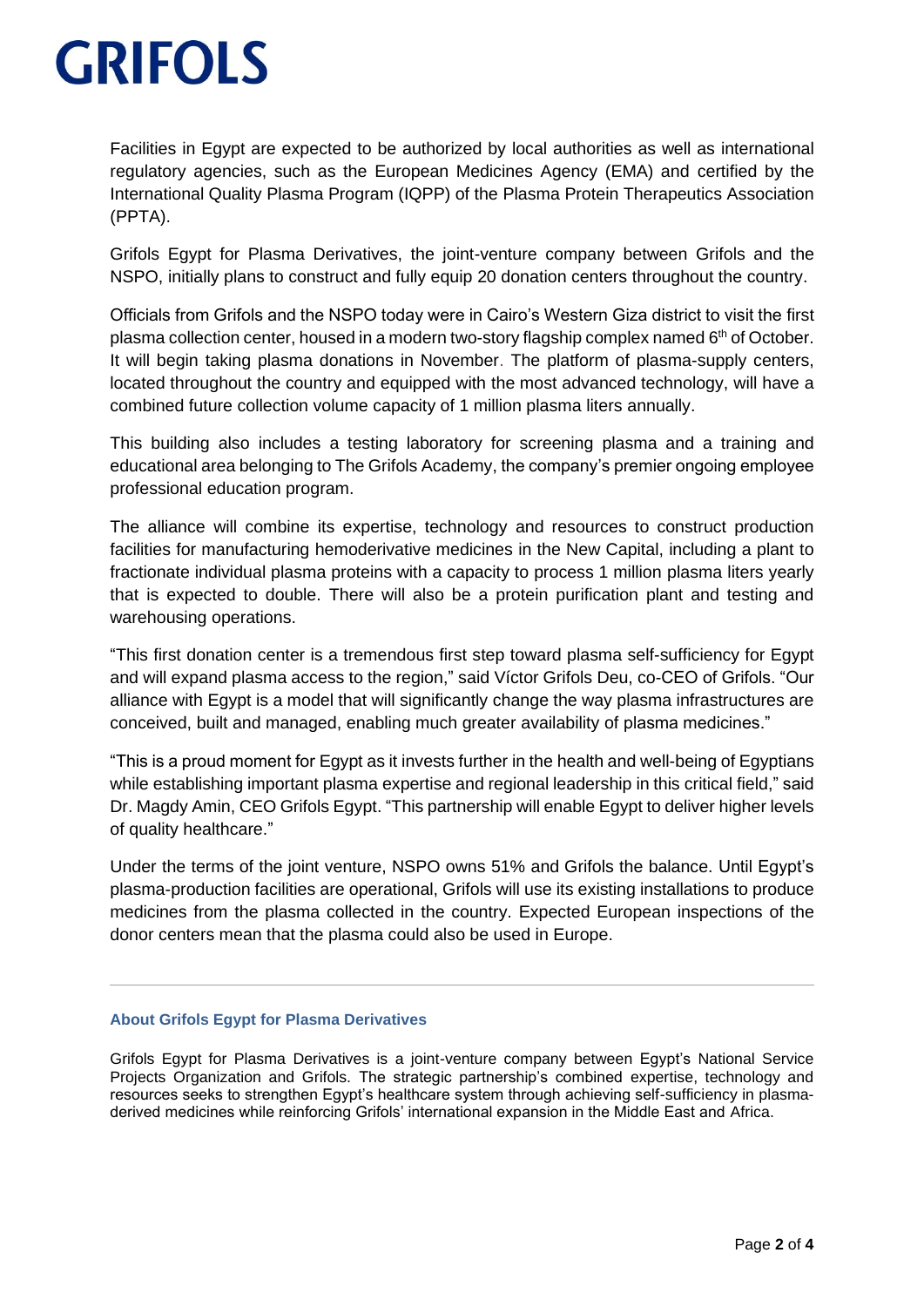Facilities in Egypt are expected to be authorized by local authorities as well as international regulatory agencies, such as the European Medicines Agency (EMA) and certified by the International Quality Plasma Program (IQPP) of the Plasma Protein Therapeutics Association (PPTA).

Grifols Egypt for Plasma Derivatives, the joint-venture company between Grifols and the NSPO, initially plans to construct and fully equip 20 donation centers throughout the country.

Officials from Grifols and the NSPO today were in Cairo's Western Giza district to visit the first plasma collection center, housed in a modern two-story flagship complex named 6<sup>th</sup> of October. It will begin taking plasma donations in November. The platform of plasma-supply centers, located throughout the country and equipped with the most advanced technology, will have a combined future collection volume capacity of 1 million plasma liters annually.

This building also includes a testing laboratory for screening plasma and a training and educational area belonging to The Grifols Academy, the company's premier ongoing employee professional education program.

The alliance will combine its expertise, technology and resources to construct production facilities for manufacturing hemoderivative medicines in the New Capital, including a plant to fractionate individual plasma proteins with a capacity to process 1 million plasma liters yearly that is expected to double. There will also be a protein purification plant and testing and warehousing operations.

"This first donation center is a tremendous first step toward plasma self-sufficiency for Egypt and will expand plasma access to the region," said Víctor Grifols Deu, co-CEO of Grifols. "Our alliance with Egypt is a model that will significantly change the way plasma infrastructures are conceived, built and managed, enabling much greater availability of plasma medicines."

"This is a proud moment for Egypt as it invests further in the health and well-being of Egyptians while establishing important plasma expertise and regional leadership in this critical field," said Dr. Magdy Amin, CEO Grifols Egypt. "This partnership will enable Egypt to deliver higher levels of quality healthcare."

Under the terms of the joint venture, NSPO owns 51% and Grifols the balance. Until Egypt's plasma-production facilities are operational, Grifols will use its existing installations to produce medicines from the plasma collected in the country. Expected European inspections of the donor centers mean that the plasma could also be used in Europe.

#### **About Grifols Egypt for Plasma Derivatives**

Grifols Egypt for Plasma Derivatives is a joint-venture company between Egypt's National Service Projects Organization and Grifols. The strategic partnership's combined expertise, technology and resources seeks to strengthen Egypt's healthcare system through achieving self-sufficiency in plasmaderived medicines while reinforcing Grifols' international expansion in the Middle East and Africa.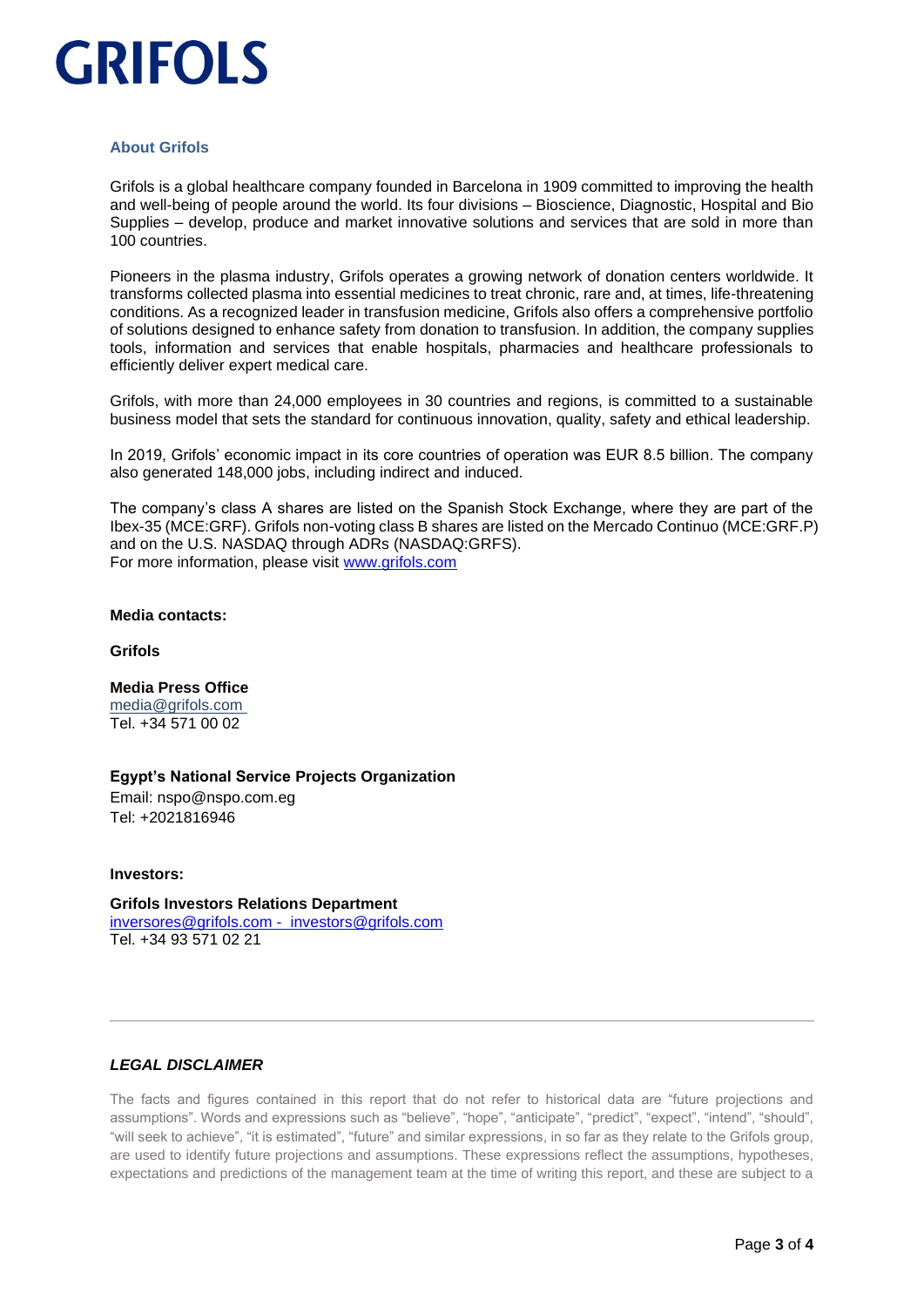#### **About Grifols**

Grifols is a global healthcare company founded in Barcelona in 1909 committed to improving the health and well-being of people around the world. Its four divisions – Bioscience, Diagnostic, Hospital and Bio Supplies – develop, produce and market innovative solutions and services that are sold in more than 100 countries.

Pioneers in the plasma industry, Grifols operates a growing network of donation centers worldwide. It transforms collected plasma into essential medicines to treat chronic, rare and, at times, life-threatening conditions. As a recognized leader in transfusion medicine, Grifols also offers a comprehensive portfolio of solutions designed to enhance safety from donation to transfusion. In addition, the company supplies tools, information and services that enable hospitals, pharmacies and healthcare professionals to efficiently deliver expert medical care.

Grifols, with more than 24,000 employees in 30 countries and regions, is committed to a sustainable business model that sets the standard for continuous innovation, quality, safety and ethical leadership.

In 2019, Grifols' economic impact in its core countries of operation was EUR 8.5 billion. The company also generated 148,000 jobs, including indirect and induced.

The company's class A shares are listed on the Spanish Stock Exchange, where they are part of the Ibex-35 (MCE:GRF). Grifols non-voting class B shares are listed on the Mercado Continuo (MCE:GRF.P) and on the U.S. NASDAQ through ADRs (NASDAQ:GRFS). For more information, please visit [www.grifols.com](http://www.grifols.com/)

#### **Media contacts:**

**Grifols**

#### **Media Press Office** [media@grifols.com](mailto:media@grifols.com)

Tel. +34 571 00 02

#### **Egypt's National Service Projects Organization**

Email: nspo@nspo.com.eg Tel: +2021816946

**Investors:**

**Grifols Investors Relations Department**  [inversores@grifols.com](mailto:inversores@grifols.com) - [investors@grifols.com](mailto:investors@grifols.com) Tel. +34 93 571 02 21

#### *LEGAL DISCLAIMER*

The facts and figures contained in this report that do not refer to historical data are "future projections and assumptions". Words and expressions such as "believe", "hope", "anticipate", "predict", "expect", "intend", "should", "will seek to achieve", "it is estimated", "future" and similar expressions, in so far as they relate to the Grifols group, are used to identify future projections and assumptions. These expressions reflect the assumptions, hypotheses, expectations and predictions of the management team at the time of writing this report, and these are subject to a